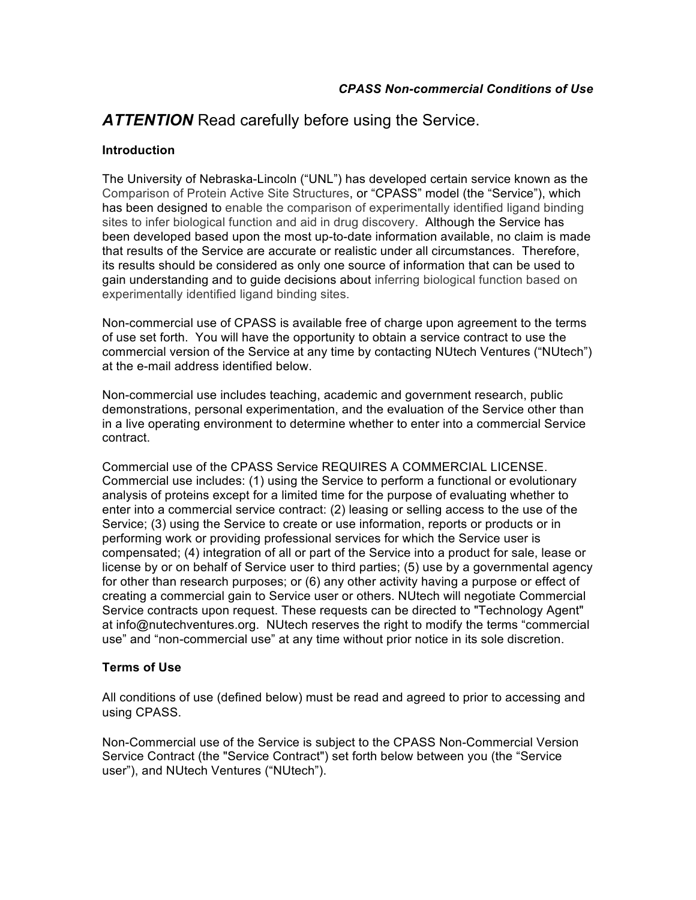## *ATTENTION* Read carefully before using the Service.

## **Introduction**

The University of Nebraska-Lincoln ("UNL") has developed certain service known as the Comparison of Protein Active Site Structures, or "CPASS" model (the "Service"), which has been designed to enable the comparison of experimentally identified ligand binding sites to infer biological function and aid in drug discovery. Although the Service has been developed based upon the most up-to-date information available, no claim is made that results of the Service are accurate or realistic under all circumstances. Therefore, its results should be considered as only one source of information that can be used to gain understanding and to guide decisions about inferring biological function based on experimentally identified ligand binding sites.

Non-commercial use of CPASS is available free of charge upon agreement to the terms of use set forth. You will have the opportunity to obtain a service contract to use the commercial version of the Service at any time by contacting NUtech Ventures ("NUtech") at the e-mail address identified below.

Non-commercial use includes teaching, academic and government research, public demonstrations, personal experimentation, and the evaluation of the Service other than in a live operating environment to determine whether to enter into a commercial Service contract.

Commercial use of the CPASS Service REQUIRES A COMMERCIAL LICENSE. Commercial use includes: (1) using the Service to perform a functional or evolutionary analysis of proteins except for a limited time for the purpose of evaluating whether to enter into a commercial service contract: (2) leasing or selling access to the use of the Service; (3) using the Service to create or use information, reports or products or in performing work or providing professional services for which the Service user is compensated; (4) integration of all or part of the Service into a product for sale, lease or license by or on behalf of Service user to third parties; (5) use by a governmental agency for other than research purposes; or (6) any other activity having a purpose or effect of creating a commercial gain to Service user or others. NUtech will negotiate Commercial Service contracts upon request. These requests can be directed to "Technology Agent" at info@nutechventures.org. NUtech reserves the right to modify the terms "commercial use" and "non-commercial use" at any time without prior notice in its sole discretion.

## **Terms of Use**

All conditions of use (defined below) must be read and agreed to prior to accessing and using CPASS.

Non-Commercial use of the Service is subject to the CPASS Non-Commercial Version Service Contract (the "Service Contract") set forth below between you (the "Service user"), and NUtech Ventures ("NUtech").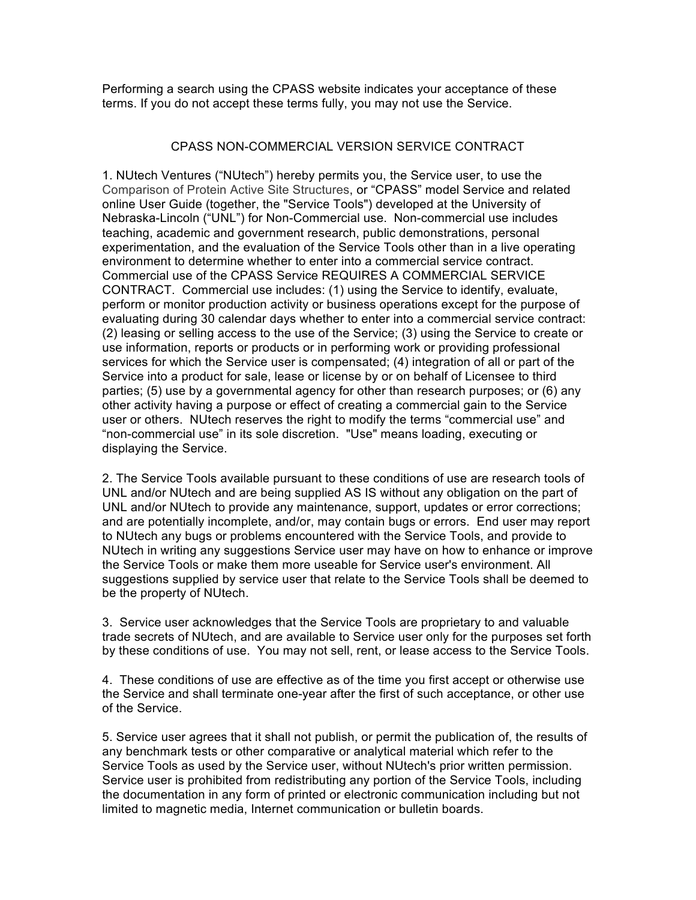Performing a search using the CPASS website indicates your acceptance of these terms. If you do not accept these terms fully, you may not use the Service.

## CPASS NON-COMMERCIAL VERSION SERVICE CONTRACT

1. NUtech Ventures ("NUtech") hereby permits you, the Service user, to use the Comparison of Protein Active Site Structures, or "CPASS" model Service and related online User Guide (together, the "Service Tools") developed at the University of Nebraska-Lincoln ("UNL") for Non-Commercial use. Non-commercial use includes teaching, academic and government research, public demonstrations, personal experimentation, and the evaluation of the Service Tools other than in a live operating environment to determine whether to enter into a commercial service contract. Commercial use of the CPASS Service REQUIRES A COMMERCIAL SERVICE CONTRACT. Commercial use includes: (1) using the Service to identify, evaluate, perform or monitor production activity or business operations except for the purpose of evaluating during 30 calendar days whether to enter into a commercial service contract: (2) leasing or selling access to the use of the Service; (3) using the Service to create or use information, reports or products or in performing work or providing professional services for which the Service user is compensated; (4) integration of all or part of the Service into a product for sale, lease or license by or on behalf of Licensee to third parties; (5) use by a governmental agency for other than research purposes; or (6) any other activity having a purpose or effect of creating a commercial gain to the Service user or others. NUtech reserves the right to modify the terms "commercial use" and "non-commercial use" in its sole discretion. "Use" means loading, executing or displaying the Service.

2. The Service Tools available pursuant to these conditions of use are research tools of UNL and/or NUtech and are being supplied AS IS without any obligation on the part of UNL and/or NUtech to provide any maintenance, support, updates or error corrections; and are potentially incomplete, and/or, may contain bugs or errors. End user may report to NUtech any bugs or problems encountered with the Service Tools, and provide to NUtech in writing any suggestions Service user may have on how to enhance or improve the Service Tools or make them more useable for Service user's environment. All suggestions supplied by service user that relate to the Service Tools shall be deemed to be the property of NUtech.

3. Service user acknowledges that the Service Tools are proprietary to and valuable trade secrets of NUtech, and are available to Service user only for the purposes set forth by these conditions of use. You may not sell, rent, or lease access to the Service Tools.

4. These conditions of use are effective as of the time you first accept or otherwise use the Service and shall terminate one-year after the first of such acceptance, or other use of the Service.

5. Service user agrees that it shall not publish, or permit the publication of, the results of any benchmark tests or other comparative or analytical material which refer to the Service Tools as used by the Service user, without NUtech's prior written permission. Service user is prohibited from redistributing any portion of the Service Tools, including the documentation in any form of printed or electronic communication including but not limited to magnetic media, Internet communication or bulletin boards.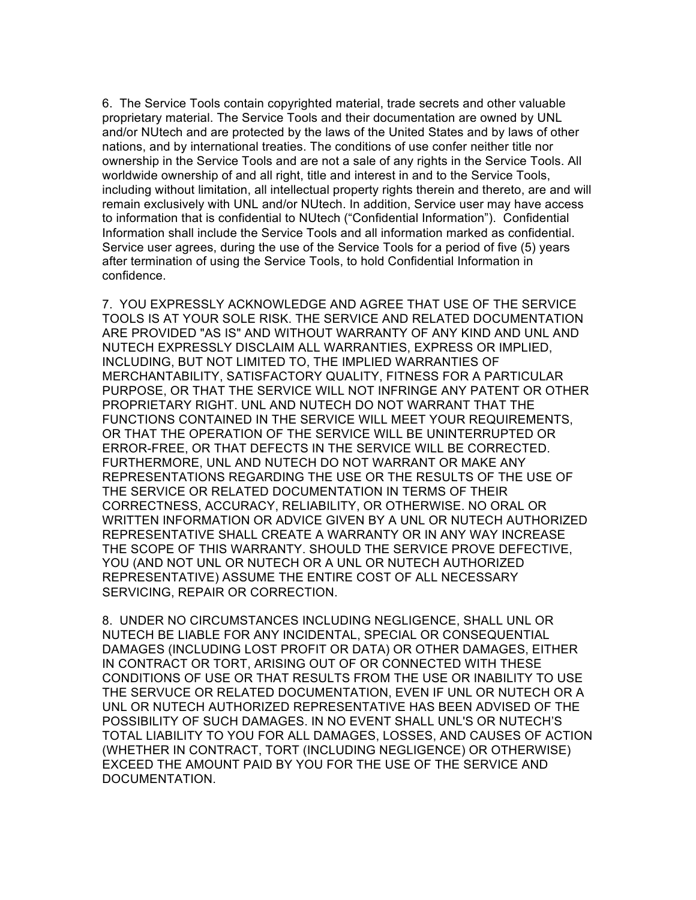6. The Service Tools contain copyrighted material, trade secrets and other valuable proprietary material. The Service Tools and their documentation are owned by UNL and/or NUtech and are protected by the laws of the United States and by laws of other nations, and by international treaties. The conditions of use confer neither title nor ownership in the Service Tools and are not a sale of any rights in the Service Tools. All worldwide ownership of and all right, title and interest in and to the Service Tools, including without limitation, all intellectual property rights therein and thereto, are and will remain exclusively with UNL and/or NUtech. In addition, Service user may have access to information that is confidential to NUtech ("Confidential Information"). Confidential Information shall include the Service Tools and all information marked as confidential. Service user agrees, during the use of the Service Tools for a period of five (5) years after termination of using the Service Tools, to hold Confidential Information in confidence.

7. YOU EXPRESSLY ACKNOWLEDGE AND AGREE THAT USE OF THE SERVICE TOOLS IS AT YOUR SOLE RISK. THE SERVICE AND RELATED DOCUMENTATION ARE PROVIDED "AS IS" AND WITHOUT WARRANTY OF ANY KIND AND UNL AND NUTECH EXPRESSLY DISCLAIM ALL WARRANTIES, EXPRESS OR IMPLIED, INCLUDING, BUT NOT LIMITED TO, THE IMPLIED WARRANTIES OF MERCHANTABILITY, SATISFACTORY QUALITY, FITNESS FOR A PARTICULAR PURPOSE, OR THAT THE SERVICE WILL NOT INFRINGE ANY PATENT OR OTHER PROPRIETARY RIGHT. UNL AND NUTECH DO NOT WARRANT THAT THE FUNCTIONS CONTAINED IN THE SERVICE WILL MEET YOUR REQUIREMENTS, OR THAT THE OPERATION OF THE SERVICE WILL BE UNINTERRUPTED OR ERROR-FREE, OR THAT DEFECTS IN THE SERVICE WILL BE CORRECTED. FURTHERMORE, UNL AND NUTECH DO NOT WARRANT OR MAKE ANY REPRESENTATIONS REGARDING THE USE OR THE RESULTS OF THE USE OF THE SERVICE OR RELATED DOCUMENTATION IN TERMS OF THEIR CORRECTNESS, ACCURACY, RELIABILITY, OR OTHERWISE. NO ORAL OR WRITTEN INFORMATION OR ADVICE GIVEN BY A UNL OR NUTECH AUTHORIZED REPRESENTATIVE SHALL CREATE A WARRANTY OR IN ANY WAY INCREASE THE SCOPE OF THIS WARRANTY. SHOULD THE SERVICE PROVE DEFECTIVE, YOU (AND NOT UNL OR NUTECH OR A UNL OR NUTECH AUTHORIZED REPRESENTATIVE) ASSUME THE ENTIRE COST OF ALL NECESSARY SERVICING, REPAIR OR CORRECTION.

8. UNDER NO CIRCUMSTANCES INCLUDING NEGLIGENCE, SHALL UNL OR NUTECH BE LIABLE FOR ANY INCIDENTAL, SPECIAL OR CONSEQUENTIAL DAMAGES (INCLUDING LOST PROFIT OR DATA) OR OTHER DAMAGES, EITHER IN CONTRACT OR TORT, ARISING OUT OF OR CONNECTED WITH THESE CONDITIONS OF USE OR THAT RESULTS FROM THE USE OR INABILITY TO USE THE SERVUCE OR RELATED DOCUMENTATION, EVEN IF UNL OR NUTECH OR A UNL OR NUTECH AUTHORIZED REPRESENTATIVE HAS BEEN ADVISED OF THE POSSIBILITY OF SUCH DAMAGES. IN NO EVENT SHALL UNL'S OR NUTECH'S TOTAL LIABILITY TO YOU FOR ALL DAMAGES, LOSSES, AND CAUSES OF ACTION (WHETHER IN CONTRACT, TORT (INCLUDING NEGLIGENCE) OR OTHERWISE) EXCEED THE AMOUNT PAID BY YOU FOR THE USE OF THE SERVICE AND DOCUMENTATION.